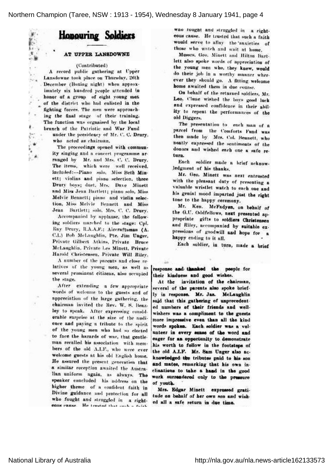

## AT UPPER LANSDOWNE

## (Contributed)

.'\[ :

 $r_{\rm sh}$ 

'

. .,

,,.

1

A record public, gathering at Upper Lansdowne took place on Thursday, 26th . December (Boxing night) when approx imately six hundred people attended in honor of a group of eight young men of the district who had enlisted in the fighting forces. The men were approach ing' the final stage of their training. Tho function was organised by the local branch of the Patriotic and War Fund

under the presidency of Mr. C. C. Drury, who acted as chairman.

The proceedings opened with community singing and <sup>a</sup> concert programme ar ranged by Mr. and Mrs. C. C. Drury. The items, which were well received. included: — Piano solo, Miss Beth Min ett; violins and piano selection, three Drury boys; duet, Mrs. Dave Minett and Miss Jean Bartlett; piano solo, Miss Melvie Bennett; piano and violin selection, Miss Mclvic Bennett and Miss Jean Bartlett; solo, Mrs. C. C. Drury.

Accompanied by applause, the follow ing soldiers marched to the stage: Cpl. Ray Drury, R.A.A.F.; Aircraftsman (A. C.I.) Bob McLaughlin, Pte. Jim Unger, Private Gilbert Atkins, Private Bruce McLaughlin, Piivate Lcs Minutt, Private Harold Ghrislonscu, Private Will Riley.

A number of the parents and close re latives of the young men, as well as several prominent citizens, also occupied the stage.

After extending <sup>a</sup> few appropriate words of welcome to the guests and of appreciation of the large gathering, the chairman invited the Rev. W. S. Beazley to speak. After expressing consid erable surprise at the size of the nudionce and paying <sup>a</sup> tribute to the spirit of the young men who had so elected to face the hazards of war, that gentleman recalled his association with mem bers of the old A.I.F., who were ever welcome guests at his old English home. He assured the' present generation that' <sup>a</sup> similar reception awaited the Austra lian uniform again, as always. The speaker concluded his address on the higher theme of a confident faith in Divine guidance and protection for all who fought and struggled in a rightcous cause. He trusted that such a fairly

was fought and struggled in a righteous cause. He trusted that such a faith would serve to allay the anxieties of those who watch and wait at home.

Messrs. Geo. Minelt and Hilton Bart lett also spoke words of appreciation of the young men who, they knew, would do their job in a worthy manner wherever they should go. <sup>A</sup> fitting welcome home awaited them in due course.

On behalf of the returned soldiers, Mr. Leo. Clune wished the boys good luck and expressed confidence in their ability to repent the performances of tho old Diggers.

The presentation to each man of a parcel from the Comforts Fund was . then made by Mis. Col. Bennett, who neatly expressed the sentiments of the donors and wished each one a safe return.

Each soldier made a brief acknowledgment of his thanks.

Mr. Geo. Minett was next entrusted with the pleasant duty of presenting a valuable wristlet watch to each one and his genial mood imparted just the right tone to the happy ceremony.

Mr. Ken. McFndyen, on behalf of the G.U. Oddfellows, next presented ap propriate gifts to soldiers Christonsen and Riley, accompanied by suitable expressions of goodwill and hope for a happy ending to it all.

Each soldier, in turn, made <sup>a</sup> brief

response and- thanked the people for their kindness and good wishes.

At the invitation of the chairman, several of the parents also spoke briefly in response. Mr. Jas.. McLaughlin said that this gathering of unprecedented numbers of their friends and wellwishers was <sup>a</sup> compliment to the guests more impressive even than all the kind words spoken;. Each, soldier was <sup>a</sup> vol unteer in every sense of the word and eager for an opportunity to. demonstrate his worth to follow in the footsteps of the old A.I.F. Mr. Sam Unger also ac knowledged the tributes paid to his son and mates, remarking that his own inclinations to take <sup>a</sup> hand in the good work surrendered only to the pressure of youth.

Mrs. Edgar Minett expressed gratitude on behalf of her own son and wished all <sup>a</sup> safe return in due time.